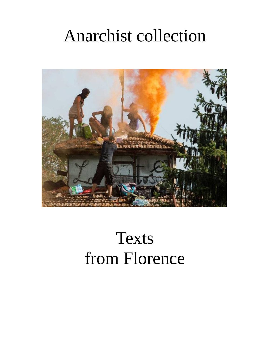# Anarchist collection



# Texts from Florence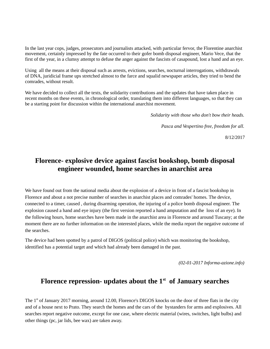In the last year cops, judges, prosecutors and journalists attacked, with particular fervor, the Florentine anarchist movement, certainly impressed by the fate occurred to their gofer bomb disposal engineer, Mario Vece, that the first of the year, in a clumsy attempt to defuse the anger against the fascists of casapound, lost a hand and an eye.

Using all the means at their disposal such as arrests, evictions, searches, nocturnal interrogations, withdrawals of DNA, juridicial frame ups stretched almost to the farce and squalid newspaper articles, they tried to bend the comrades, without result.

We have decided to collect all the texts, the solidarity contributions and the updates that have taken place in recent months on these events, in chronological order, translating them into different languages, so that they can be a starting point for discussion within the international anarchist movement.

*Solidarity with those who don't bow their heads.*

*Pasca and Vespertino free, freedom for all.*

8/12/2017

# **Florence- explosive device against fascist bookshop, bomb disposal engineer wounded, home searches in anarchist area**

We have found out from the national media about the explosion of a device in front of a fascist bookshop in Florence and about a not precise number of searches in anarchist places and comrades' homes. The device, connected to a timer, caused , during disarming operation, the injuring of a police bomb disposal engineer. The explosion caused a hand and eye injury (the first version reported a hand amputation and the loss of an eye). In the following hours, home searches have been made in the anarchist area in Florencte and around Tuscany; at the moment there are no further information on the interested places, while the media report the negative outcome of the searches.

The device had been spotted by a patrol of DIGOS (political police) which was monitoring the bookshop, identified has a potential target and which had already been damaged in the past.

*(02-01-2017 Informa-azione.info)*

#### **Florence repression- updates about the 1st of January searches**

The 1<sup>st</sup> of January 2017 morning, around 12.00, Florence's DIGOS knocks on the door of three flats in the city and of a house next to Prato. They search the homes and the cars of the bystanders for arms and explosives. All searches report negative outcome, except for one case, where electric material (wires, switches, light bulbs) and other things (pc, jar lids, bee wax) are taken away.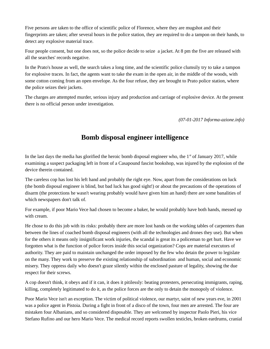Five persons are taken to the office of scientific police of Florence, where they are mugshot and their fingerprints are taken; after several hours in the police station, they are required to do a tampon on their hands, to detect any explosive material trace.

Four people consent, but one does not, so the police decide to seize a jacket. At 8 pm the five are released with all the searches' records negative.

In the Prato's house as well, the search takes a long time, and the scientific police clumsily try to take a tampon for explosive traces. In fact, the agents want to take the exam in the open air, in the middle of the woods, with some cotton coming from an open envelope. As the four refuse, they are brought to Prato police station, where the police seizes their jackets.

The charges are attempted murder, serious injury and production and carriage of explosive device. At the present there is no official person under investigation.

*(07-01-2017 Informa-azione.info)*

# **Bomb disposal engineer intelligence**

In the last days the media has glorified the heroic bomb disposal engineer who, the  $1<sup>st</sup>$  of January 2017, while examining a suspect packaging left in front of a Casapound fascist bookshop, was injured by the explosion of the device therein contained.

The careless cop has lost his left hand and probably the right eye. Now, apart from the considerations on luck (the bomb disposal engineer is blind, but bad luck has good sight!) or about the precautions of the operations of disarm (the protections he wasn't wearing probably would have given him an hand) there are some banalities of which newspapers don't talk of.

For example, if poor Mario Vece had chosen to become a baker, he would probably have both hands, messed up with cream.

He chose to do this job with its risks: probably there are more lost hands on the working tables of carpenters than between the lines of coached bomb disposal engineers (with all the technologies and drones they use). But when for the others it means only insignificant work injuries, the scandal is great its a policeman to get hurt. Have we forgotten what is the function of police forces inside this social organization? Cops are material executors of authority. They are paid to maintain unchanged the order imposed by the few who detain the power to legislate on the many. They work to preserve the existing relationship of subordination and human, social and economic misery. They oppress daily who doesn't graze silently within the enclosed pasture of legality, showing the due respect for their screws.

A cop doesn't think, it obeys and if it can, it does it pitilessly: beating protesters, persecuting immigrants, raping, killing, completely legitimated to do it, as the police forces are the only to detain the monopoly of violence.

Poor Mario Vece isn't an exception. The victim of political violence, our martyr, saint of new years eve, in 2001 was a police agent in Pistoia. During a fight in front of a disco of the town, four men are arrested. The four are mistaken four Albanians, and so considered disposable. They are welcomed by inspector Paolo Pieri, his vice Stefano Rufino and our hero Mario Vece. The medical record reports swollen testicles, broken eardrums, cranial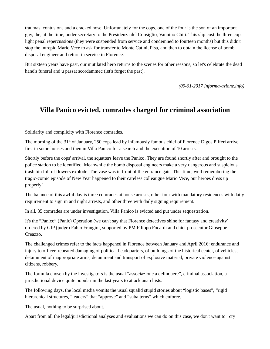traumas, contusions and a cracked nose. Unfortunately for the cops, one of the four is the son of an important guy, the, at the time, under secretary to the Presidenza del Consiglio, Vannino Chiti. This slip cost the three cops light penal repercussions (they were suspended from service and condemned to fourteen months) but this didn't stop the intrepid Mario Vece to ask for transfer to Monte Catini, Pisa, and then to obtain the license of bomb disposal engineer and return in service in Florence.

But sixteen years have past, our mutilated hero returns to the scenes for other reasons, so let's celebrate the dead hand's funeral and u passat scordammec (let's forget the past).

*(09-01-2017 Informa-azione.info)*

# **Villa Panico evicted, comrades charged for criminal association**

Solidarity and complicity with Florence comrades.

The morning of the  $31<sup>st</sup>$  of January, 250 cops lead by infamously famous chief of Florence Digos Pifferi arrive first in some houses and then in Villa Panico for a search and the execution of 10 arrests.

Shortly before the cops' arrival, the squatters leave the Panico. They are found shortly after and brought to the police station to be identified. Meanwhile the bomb disposal engineers make a very dangerous and suspicious trash bin full of flowers explode. The vase was in front of the entrance gate. This time, well remembering the tragic-comic episode of New Year happened to their careless colleaugue Mario Vece, our heroes dress up properly!

The balance of this awful day is three comrades at house arrests, other four with mandatory residences with daily requirement to sign in and night arrests, and other three with daily signing requirement.

In all, 35 comrades are under investigation, Villa Panico is evicted and put under sequestration.

It's the "Panico" (Panic) Operation (we can't say that Florence detectives shine for fantasy and creativity) ordered by GIP (judge) Fabio Frangini, supported by PM Filippo Focardi and chief prosecutor Giuseppe Creazzo.

The challenged crimes refer to the facts happened in Florence between January and April 2016: endurance and injury to officer, repeated damaging of political headquarters, of buildings of the historical center, of vehicles, detainment of inappropriate arms, detainment and transport of explosive material, private violence against citizens, robbery.

The formula chosen by the investigators is the usual "associazione a delinquere", criminal association, a jurisdictional device quite popular in the last years to attack anarchists.

The following days, the local media vomits the usual squalid stupid stories about "logistic bases", "rigid hierarchical structures, "leaders" that "approve" and "subalterns" which enforce.

The usual, nothing to be surprised about.

Apart from all the legal/jurisdictional analyses and evaluations we can do on this case, we don't want to cry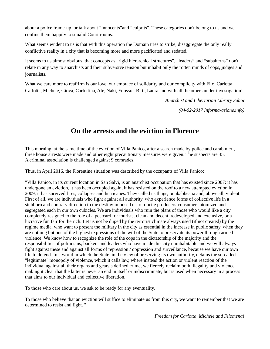about a police frame-up, or talk about "innocents"and "culprits". These categories don't belong to us and we confine them happily to squalid Court rooms.

What seems evident to us is that with this operation the Domain tries to strike, disaggregate the only really conflictive reality in a city that is becoming more and more pacificated and sedated.

It seems to us almost obvious, that concepts as "rigid hierarchical structures", "leaders" and "subalterns" don't relate in any way to anarchists and their subversive tension but inhabit only the rotten minds of cops, judges and journalists.

What we care more to reaffirm is our love, our embrace of solidarity and our complicity with Filo, Carlotta, Carlotta, Michele, Giova, Carlottina, Ale, Naki, Youssra, Bitti, Laura and with all the others under investigation!

*Anarchist and Libertarian Library Sabot*

*(04-02-2017 Informa-azione.info)*

## **On the arrests and the eviction in Florence**

This morning, at the same time of the eviction of Villa Panico, after a search made by police and carabinieri, three house arrests were made and other eight precautionary measures were given. The suspects are 35. A criminal association is challenged against 9 comrades.

Thus, in April 2016, the Florentine situation was described by the occupants of Villa Panico:

"Villa Panico, in its current location in San Salvi, is an anarchist occupation that has existed since 2007: it has undergone an eviction, it has been occupied again, it has resisted on the roof to a new attempted eviction in 2009, it has survived fires, collapses and hurricanes. They called us thugs, punkabbestia and, above all, violent. First of all, we are individuals who fight against all authority, who experience forms of collective life in a stubborn and contrary direction to the destiny imposed us, of docile producers-consumers atomized and segregated each in our own cubicles. We are individuals who ruin the plans of those who would like a city completely resigned to the role of a postcard for tourists, clean and decent, redeveloped and exclusive, or a lucrative fun fair for the rich. Let us not be duped by the terrorist climate always used (if not created) by the regime media, who want to present the military in the city as essential in the increase in public safety, when they are nothing but one of the highest expressions of the will of the State to preservate its power through armed violence. We know how to recognize the role of the cops in the dictatorship of the majority and the responsibilities of politicians, bankers and leaders who have made this city uninhabitable and we will always fight against these and against all forms of repression / oppression and surveillance, because we have our own life to defend. In a world in which the State, in the view of preserving its own authority, detains the so-called "legitimate" monopoly of violence, which it calls law, where instead the action or violent reaction of the individual against all their organs and gearsis defined crime, we fiercely reclaim both illegality and violence, making it clear that the latter is never an end in itself or indiscriminate, but is used when necessary in a process that aims to our individual and collective liberation.

To those who care about us, we ask to be ready for any eventuality.

To those who believe that an eviction will suffice to eliminate us from this city, we want to remember that we are determined to resist and fight. "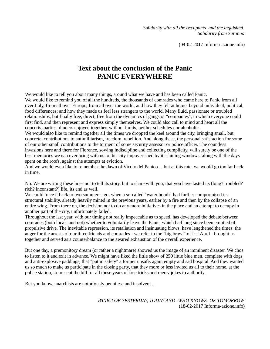*Solidarity with all the occupants and the inquisited. Solidarity from Saronno*

(04-02-2017 Informa-azione.info)

#### **Text about the conclusion of the Panic PANIC EVERYWHERE**

We would like to tell you about many things, around what we have and has been called Panic. We would like to remind you of all the hundreds, the thousands of comrades who came here to Panic from all over Italy, from all over Europe, from all over the world, and how they felt at home, beyond individual, political, food differences; and how they made us feel less strangers to the world. Many fluid, passionate or troubled relationships, but finally free, direct, free from the dynamics of gangs or "companies", in which everyone could first find, and then represent and express simply themselves. We could also call to mind and heart all the concerts, parties, dinners enjoyed together, without limits, neither schedules nor alcoholic.

We would also like to remind together all the times we dropped the keel around the city, bringing small, but concrete, contributions to antimilitarism, freedom, rebellion. And along these, the personal satisfaction for some of our other small contributions to the torment of some security assessor or police officer. The countless invasions here and there for Florence, sowing indiscipline and collecting complicity, will surely be one of the best memories we can ever bring with us to this city impoverished by its shining windows, along with the days spent on the roofs, against the attempts at eviction.

And we would even like to remember the dawn of Vicolo del Panico ... but at this rate, we would go too far back in time.

No. We are writing these lines not to tell its story, but to share with you, that you have tasted its (long? troubled? rich? inconstant?) life, its end as well.

We could trace it back to two summers ago, when a so-called "water bomb" had further compromised its structural stability, already heavily mined in the previous years, earlier by a fire and then by the collapse of an entire wing. From there on, the decision not to do any more initiatives in the place and an attempt to occupy in another part of the city, unfortunately failed.

Throughout the last year, with our timing not really impeccable as to speed, has developed the debate between comrades (both locals and not) whether to voluntarily leave the Panic, which had long since been emptied of propulsive drive. The inevitable repression, its retaliation and insinuating blows, have lengthened the times: the anger for the arrests of our three friends and comrades - we refer to the "big brawl" of last April - brought us together and served as a counterbalance to the awared exhaustion of the overall experience.

But one day, a premonitory dream (or rather a nightmare) showed us the image of an imminent disaster. We chos to listen to it and exit in advance. We might have liked the little show of 250 little blue men, complete with dogs and anti-explosive paddings, that "put in safety" a former unsafe, again empty and sad hospital. And they wanted us so much to make us participate in the closing party, that they more or less invited us all to their home, at the police station, to present the bill for all these years of free tricks and merry jokes to authority.

But you know, anarchists are notoriously penniless and insolvent ...

*PANICI OF YESTERDAY, TODAY AND -WHO KNOWS- OF TOMORROW* (18-02-2017 Informa-azione.info)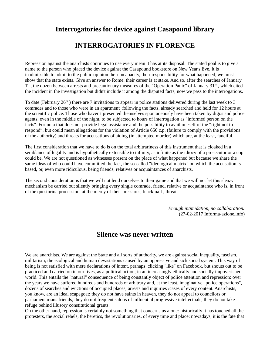#### **Interrogatories for device against Casapound library**

### **INTERROGATORIES IN FLORENCE**

Repression against the anarchists continues to use every mean it has at its disposal. The stated goal is to give a name to the person who placed the device against the Casapound bookstore on New Year's Eve. It is inadmissible to admit to the public opinion their incapacity, their responsibility for what happened, we must show that the state exists. Give an answer to Rome, their career is at stake. And so, after the searches of January 1<sup>st</sup>, the dozen between arrests and precautionary measures of the "Operation Panic" of January 31<sup>st</sup>, which cited the incident in the investigation but didn't include it among the disputed facts, now we pass to the interrogations.

To date (February 26<sup>th</sup>) there are 7 invitations to appear in police stations delivered during the last week to 3 comrades and to those who were in an apartment following the facts, already searched and held for 12 hours at the scientific police. Those who haven't presented themselves spontaneously have been taken by digos and police agents, even in the middle of the night, to be subjected to hours of interrogation as "informed person on the facts". Formula that does not provide legal assistance and the possibility to avail oneself of the "right not to respond", but could mean allegations for the violation of Article 650 c.p. (failure to comply with the provisions of the authority) and threats for accusations of aiding (in attempted murder) which are, at the least, fanciful.

The first consideration that we have to do is on the total arbitrariness of this instrument that is cloaked in a semblance of legality and is hypothetically extensible to infinity, as infinite as the idiocy of a prosecutor or a cop could be. We are not questioned as witnesses present on the place of what happened but because we share the same ideas of who could have committed the fact, the so-called "ideological matrix" on which the accusation is based, or, even more ridiculous, being friends, relatives or acquaintances of anarchists.

The second consideration is that we will not lend ourselves to their game and that we will not let this sleazy mechanism be carried out silently bringing every single comrade, friend, relative or acquaintance who is, in front of the questurina procession, at the mercy of their pressures, blackmail , threats.

> *Enough intimidation, no collaboration.* (27-02-2017 Informa-azione.info)

#### **Silence was never written**

We are anarchists. We are against the State and all sorts of authority, we are against social inequality, fascism, militarism, the ecological and human devastations caused by an oppressive and sick social system. This way of being is not satisfied with mere declarations of intent, perhaps clicking "like" on Facebook, but shouts out to be practiced and carried on in our lives, as a political action, in an increasingly ethically and socially impoverished world. This entails the "natural" consequence of being constantly object of police attention and repression: over the years we have suffered hundreds and hundreds of arbitrary and, at the least, imaginative "police operations", dozens of searches and evictions of occupied places, arrests and inquiries /cases of every content. Anarchists, you know, are an ideal scapegoat: they do not have saints in heaven, they do not appeal to councilors or parliamentarians friends, they do not frequent salons of influential progressive intellectuals, they do not take refuge behind illusory constitutional grants.

On the other hand, repression is certainly not something that concerns us alone: historically it has touched all the protesters, the social rebels, the heretics, the revolutionaries, of every time and place; nowadays, it is the fate that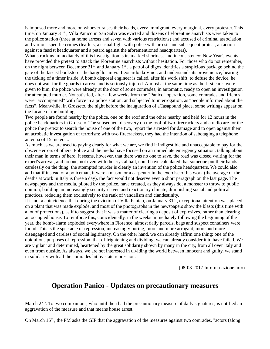is imposed more and more on whoever raises their heads, every immigrant, every marginal, every protester. This time, on January 31<sup>st</sup>, Villa Panico in San Salvi was evicted and dozens of Florentine anarchists were taken to the police station (three at home arrests and seven with various restrictions) and accused of criminal association and various specific crimes (leaflets, a casual fight with police with arrests and subsequent protest, an action against a fascist headquarter and a petard against the aforementioned headquarters).

What struck us immediately of this investigation is its marked shortness and inconsistency: New Year's events have provided the pretext to attack the Florentine anarchists without hesitation. For those who do not remember, on the night between December  $31^{st}$  and January  $1^{st}$ , a patrol of digos identifies a suspicious package behind the gate of the fascist bookstore "the bargello" in via Leonardo da Vinci, and understands its provenience, hearing the ticking of a timer inside. A bomb disposal engineer is called, after his work shift, to defuse the device, he does not wait for the guards to arrive and is seriously injured. Almost at the same time as the first cares were given to him, the police were already at the door of some comrades, in automatic, ready to open an investigation for attempted murder. Not satisfied, after a few weeks from the "Panico" operation, some comrades and friends were "accompanied" with force in a police station, and subjected to interrogation, as "people informed about the facts". Meanwhile, in Grosseto, the night before the inauguration of aCasapound place, some writings appear on the facade of the building.

Two people are found nearby by the police, one on the roof and the other nearby, and held for 12 hours in the police headquarters in Grosseto. The subsequent discovery on the roof of two firecrackers and a radio are for the police the pretext to search the house of one of the two, report the arrested for damage and to open against them an acrobatic investigation of terrorism: with two firecrackers, they had the intention of sabotaging a telephone antenna of 15 meters ..

As much as we are used to paying dearly for what we are, we find it indigestible and unacceptable to pay for the obscene errors of others. Police and the media have focused on an immediate emergency situation, talking about their man in terms of hero; it seems, however, that there was no one to save, the road was closed waiting for the expert's arrival, and no one, not even with the crystal ball, could have calculated that someone put their hands carelessly on the thing: the attempted murder is clearly an invention of the police headquarters. We could also add that if instead of a policeman, it were a mason or a carpenter in the exercise of his work (the average of the deaths at work in Italy is three a day), the fact would not deserve even a short paragraph on the last page. The newspapers and the media, piloted by the police, have created, as they always do, a monster to throw to public opinion, building an increasingly security-driven and reactionary climate, diminishing social and political practices, reducing them exclusively to the rank of vandalism and clandestinity.

It is not a coincidence that during the eviction of Villa Panico, on January  $31<sup>st</sup>$ , exceptional attention was placed on a plant that was made explode, and most of the photographs in the newspapers show the blasts (this time with a lot of protections), as if to suggest that it was a matter of clearing a deposit of explosives, rather than clearing an occupied house. To reinforce this, coincidentally, in the weeks immediately following the beginning of the year, the bomb-alarm exploded everywhere in Florence: almost daily parcels, bags and suspect containers were found. This is the spectacle of repression, increasingly boring, more and more arrogant, more and more disengaged and careless of social legitimacy. On the other hand, we can already affirm one thing: one of the ubiquitous purposes of repression, that of frightening and dividing, we can already consider it to have failed. We are vigilant and determined, heartened by the great solidarity shown by many in the city, from all over Italy and even from outside. As always, we are not interested in dividing the world between innocent and guilty, we stand in solidarity with all the comrades hit by state repression.

(08-03-2017 Informa-azione.info)

#### **Operation Panico - Updates on precautionary measures**

March 24<sup>th</sup>. To two companions, who until then had the precautionary measure of daily signatures, is notified an aggravation of the measure and that means house arrest.

On March  $16<sup>th</sup>$ , the PM asks the GIP that the aggravation of the measures against two comrades, "actors (along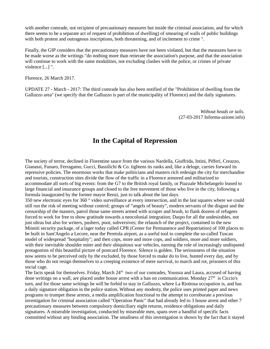with another comrade, not recipient of precautionary measures but inside the criminal association, and for which there seems to be a separate act of request of prohibition of dwelling) of smearing of walls of public buildings with both protest and outrageous inscriptions, both threatening, and of incitement to crime ".

Finally, the GIP considers that the precautionary measures have not been violated, but that the measures have to be made worse as the writings "do nothing more than reiterate the association's purpose, and that the association will continue to work with the same modalities, not excluding clashes with the police, or crimes of private violence [...] ".

Florence, 26 March 2017.

UPDATE 27 - March - 2017: The third comrade has also been notified of the "Prohibition of dwelling from the Galluzzo area" (we specify that the Galluzzo is part of the municipality of Florence) and the daily signatures.

> *Without heads or tails.* (27-03-2017 Informa-azione.info)

#### **In the Capital of Repression**

The society of terror, declined in Florentine sauce from the various Nardella, Giuffrida, Intini, Pifferi, Creazzo, Gianassi, Funaro, Ferragamo, Gucci, Bassilichi & Co. tightens its ranks and, like a deluge, carries forward its repressive policies. The enormous works that make politicians and masters rich redesign the city for merchandise and tourists, construction sites divide the flow of the traffic in a Florence armored and militarized to accommodate all sorts of big events: from the G7 to the British royal family, or Piazzale Michelangelo leased to large financial and insurance groups and closed to the free movement of those who live in the city, following a formula inaugurated by the former mayor Renzi, just to talk about the last days.

350 new electronic eyes for 360 $\degree$  video surveillance at every intersection, and in the last squares where we could still run the risk of meeting without control; groups of "angels of beauty", modern servants of the disgust and the censorship of the masters, patrol those same streets armed with scraper and brush, to flank dozens of refugees forced to work for free to show gratitude towards a neocolonial integration; Daspo for all the undesirables, not just ultras but also for writers, pushers, poor, subversives; the relaunch of the project, contained in the new Minniti security package, of a lager today called CPR (Center for Permanence and Repatriation) of 100 places to be built in Sant'Angelo a Lecore, near the Peretola airport, as a useful tool to complete the so-called Tuscan model of widespread "hospitality"; and then cops, more and more cops, and soldiers, more and more soldiers, with their inevitable shoulder miter and their ubiquitous war vehicles, earning the role of increasingly undisputed protagonists of this beautiful picture of postcard Florence. Silence is golden. The seriousness of the situation now seems to be perceived only by the excluded, by those forced to make do to live, hunted every day, and by those who do not resign themselves to a creeping existence of mere survival, to march and rot, prisoners of this social cage.

The facts speak for themselves. Friday, March  $24<sup>th</sup>$  two of our comrades, Youssra and Laura, accused of having done writings on a wall, are placed under house arrest with a ban on communication. Monday  $27<sup>th</sup>$  is Ciccio's turn, and for those same writings he will be forbid to stay in Galluzzo, where La Riottosa occupation is, and has a daily signature obligation in the police station. Without any modesty, the police uses printed paper and news programs to trumpet these arrests, a media amplification functional to the attempt to corroborate a previous investigation for criminal association called "Operation Panic" that had already led to 3 house arrest and other 7 precautionary measures between compulsory domiciliary night returns, residence obligations and daily signatures. A miserable investigation, conducted by miserable men, spans over a handful of specific facts committed without any binding association. The smallness of this investigation is shown by the fact that it stayed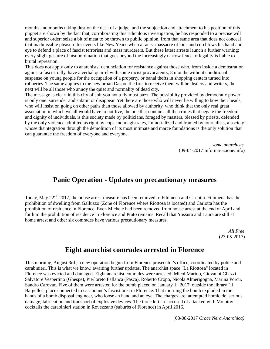months and months taking dust on the desk of a judge, and the subjection and attachment to his position of this puppet are shown by the fact that, corroborating this ridiculous investigation, he has responded to a precise will and superior order: seize a bit of meat to be thrown to public opinion, from that same area that does not conceal that inadmissible pleasure for events like New Year's when a racist massacre of kids and cop blows his hand and eye to defend a place of fascist terrorists and mass murderers. But these latest arrests launch a further warning: every slight gesture of insubordination that goes beyond the increasingly narrow fence of legality is liable to brutal repression.

This does not apply only to anarchists: denunciation for resistance against those who, from inside a demostration against a fascist rally, have a verbal quarrel with some racist provocateurs; 8 months without conditional suspense on young people for the occupation of a property, or banal thefts in shopping centers turned into robberies. The same applies to the new urban Daspo: the first to receive them will be dealers and writers, the next will be all those who annoy the quiet and normality of dead city.

The message is clear: in this city of shit you not a fly must buzz. The possibility provided by democratic power is only one: surrender and submit or disappear. Yet there are those who will never be willing to bow their heads, who will insist on going on other paths than those allowed by authority, who think that the only real great association in which we all would have to not live, the one that contains all the crimes that negate the freedom and dignity of individuals, is this society made by politicians, foraged by masters, blessed by priests, defended by the only violence admitted as right by cops and magistrates, immortalized and framed by journalists, a society whose disintegration through the demolition of its most intimate and marce foundations is the only solution that can guarantee the freedom of everyone and everyone.

> *some anarchists* (09-04-2017 Informa-azione.info)

#### **Panic Operation - Updates on precautionary measures**

Today, May 22<sup>nd</sup> 2017, the house arrest measure has been removed to Filomena and Carlotta. Filomena has the prohibition of dwelling from Galluzzo (Zone of Florence where Riottosa is located) and Carlotta has the prohibition of residence in Florence. Even Michele had been removed from house arrest at the end of April and for him the prohibition of residence in Florence and Prato remains. Recall that Yossura and Laura are still at home arrest and other six comrades have various precautionary measures.

> *All Free* (23-05-2017)

#### **Eight anarchist comrades arrested in Florence**

This morning, August 3rd , a new operation begun from Florence prosecutor's office, coordinated by police and carabinieri. This is what we know, awaiting further updates. The anarchist space "La Riottosa" located in Florence was evicted and damaged. Eight anarchist comrades were arrested: Micol Marino, Giovanni Ghezzi, Salvatore Vespertino (Ghespe), Pierloreto Fallanca (Pasca), Roberto Cropo, Nicola Almerigogna, Marina Porcu, Sandro Carovac. Five of them were arrested for the bomb placed on January  $1<sup>st</sup>$  2017, outside the library "il Bargello", place connected to casapound's fascist area in Florence. That morning the bomb exploded in the hands of a bomb disposal engineer, who loose an hand and an eye. The charges are: attempted homicide, serious damage, fabrication and transport of explosive devices. The three left are accused of attacked with Molotov cocktails the carabinieri station in Rovezzano (suburbs of Florence) in April 2016.

(03-08-2017 *Croce Nera Anarchica)*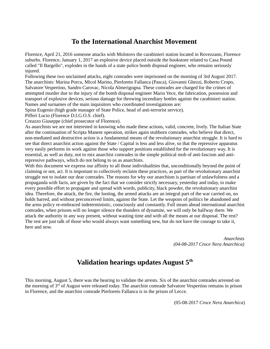## **To the International Anarchist Movement**

Florence, April 21, 2016 someone attacks with Molotovs the carabinieri station located in Rovezzano, Florence suburbs. Florence, January 1, 2017 an explosive device placed outside the bookstore related to Casa Pound called "Il Bargello", explodes in the hands of a state police bomb disposal engineer, who remains seriously injured.

Following these two unclaimed attacks, eight comrades were imprisoned on the morning of 3rd August 2017. The anarchists: Marina Porcu, Micol Marino, Pierloreto Fallanca (Pasca), Giovanni Ghezzi, Roberto Cropo, Salvatore Vespertino, Sandro Carovac, Nicola Almerigogna. These comrades are charged for the crimes of attempted murder due to the injury of the bomb disposal engineer Mario Vece, the fabrication, possession and transport of explosive devices, serious damage for throwing incendiary bottles against the carabinieri station. Names and surnames of the main inquisitors who coordinated investigations are:

Spina Eugenio (high grade manager of State Police, head of anti-terrorist service).

Pifferi Lucio (Florence D.I.G.O.S. chief).

Creazzo Giuseppe (chief prosecutor of Florence).

As anarchists we are not interested in knowing who made these actions, valid, concrete, lively. The Italian State after the continuation of Scripta Manent operation, strikes again stubborn comrades, who believe that direct, non-mediated and destructive action is a fundamental means of the revolutionary anarchist struggle. It is hard to see that direct anarchist action against the State / Capital is less and less alive, so that the repressive apparatus very easily performs its work against those who support positions established for the revolutionary way. It is essential, as well as duty, not to mix anarchist comrades in the simple political mob of anti-fascism and antirepressive pathways, which do not belong to us as anarchists.

With this document we express our affinity to all those individualities that, unconditionally beyond the point of claiming or not, act. It is important to collectively reclaim these practices, as part of the revolutionary anarchist struggle not to isolate our dear comrades. The reasons for why our anarchism is partisan of unlawfulness and a propaganda with facts, are given by the fact that we consider strictly necessary, yesterday and today, to make every possible effort to propagate and spread with words, publicity, black powder, the revolutionary anarchist idea. Therefore, the attack, the fire, the looting, the armed attacks are an integral part of the war carried on, no holds barred, and without preconceived limits, against the State. Let the weapons of politics be abandoned and the arms policy re-embraced indeterministic, consciously and constantly. Full steam ahead international anarchist comrades, when prisons will no longer silence the thunders of dynamite, we will only be halfway there. We attack the authority in any way present, without wasting time and with all the means at our disposal. The rest? The rest are just talk of those who would always want something new, but do not have the courage to take it, here and now.

> *Anarchists (04-08-2017 Croce Nera Anarchica)*

## **Validation hearings updates August 5th**

This morning, August 5, there was the hearing to validate the arrests. Six of the anarchist comrades arrested on the morning of 3rd of August were released today. The anarchist comrade Salvatore Vespertino remains in prison in Florence, and the anarchist comrade Pierloreto Fallanca is in the prison of Lecce.

(05-08-2017 *Croce Nera Anarchica*)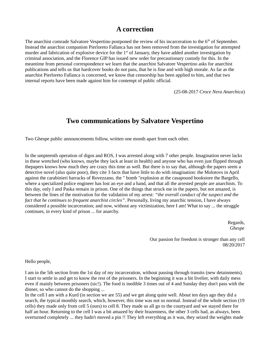#### **A correction**

The anarchist comrade Salvatore Vespertino postponed the review of his incarceration to the 6<sup>th</sup> of September. Instead the anarchist companion Pierloreto Fallanca has not been removed from the investigation for attempted murder and fabrication of explosive device for the  $1<sup>st</sup>$  of January, they have added another investigation by criminal association, and the Florence GIP has issued new order for precautionary custody for this. In the meantime from personal correspondence we learn that the anarchist Salvatore Vespertino asks for anarchist publications and tells us that hardcover books do not pass, that he is fine and with high morale. As far as the anarchist Pierloreto Fallanca is concerned, we know that censorship has been applied to him, and that two internal reports have been made against him for contempt of public official.

(25-08-2017 *Croce Nera Anarchica*)

#### **Two communications by Salvatore Vespertino**

Two Ghespe public announcements follow, written one month apart from each other.

In the umpteenth operation of digos and ROS, I was arrested along with 7 other people. Imagination never lacks in these wretched (who knows, maybe they lack at least in health) and anyone who has even just flipped through thepapers knows how much they are crazy this time as well. But there is to say that, although the papers seem a detective novel (also quite poor), they cite 3 facts that have little to do with imagination: the Molotovs in April against the carabinieri barracks of Rovezzano, the " bomb "explosion at the casapound bookstore the Bargello, where a specialized police engineer has lost an eye and a hand, and that all the arrested people are anarchists. To this day, only I and Paska remain in prison. One of the things that struck me in the papers, but not amazed, is between the lines of the motivation for the validation of my arrest: *"the overall conduct of the suspect and the fact that he continues to frequent anarchist circles"*. Personally, living my anarchic tension, I have always considered a possible incarceration; and now, without any victimization, here I am! What to say ... the struggle continues, in every kind of prison ... for anarchy.

> Regards, *Ghespe*

Our passion for freedom is stronger than any cell 08/20/2017

Hello people,

I am in the 5th section from the 1st day of my incarceration, without passing through transits (new detainments). I start to settle in and get to know the rest of the prisoners. In the beginning it was a bit livelier, with daily mess even if mainly between prisoners (sic!). The food is inedible 3 times out of 4 and Sunday they don't pass with the dinner, so who cannot do the shopping ...

In the cell I am with a Kurd (in section we are 55) and we get along quite well. About ten days ago they did a search, the typical monthly search, which, however, this time was not so normal. Instead of the whole section (19 cells) they made only from cell 5 (ours) to cell 8. They made us all go to the courtyard and we stayed there for half an hour. Returning to the cell I was a bit amazed by their brazenness, the other 3 cells had, as always, been overturned completely ... they hadn't moved a pin !! They left everything as it was, they seized the weights made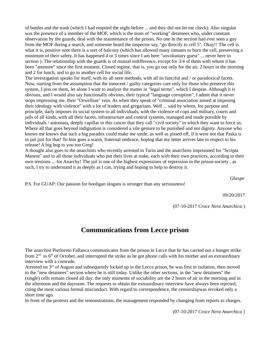of bottles and the trash (which I had emptied the night before ... and they did not let me check). Also singular was the presence of a member of the MOF, which is the team of "working" detainees who, under constant observation by the guards, deal with the maintenance of the prison. No one in the section had ever seen a guy from the MOF during a search, and someone heard the inspector say, "go directly to cell 5". Okay!! The cell is what it is, positive note there is a sort of balcony (which has allowed many inmates to burn the cell, preserving a minimum of their safety. It has happened 4 or 5 times since I am here "unvoluntary guest" ... never here in section ). The relationship with the guards is of mutual indifference, except for 3/4 of them with whom it has been "ammore" since the first moment. Closed regime, that is, you go out only for the air, 2 hours in the morning and 2 for lunch, and to go to another cell for social life.

The investigation speaks for itself, with its all seen methods, with all its fanciful and / or paradoxical facets. Now, starting from the assumption that the innocent / guilty categories care only for those who preserve this system, I piss on them, let alone I want to analyze the matter in "legal terms", which I despise. Although it is obvious, and I would also say functionally obvious, their typical "language corruption", I admit that it never stops impressing me, their "Orwellian" vein. As when they speak of "criminal association aimed at imposing their ideology with violence" with a lot of leaders and gregarians. Well ... said by whom, for purpose and principle, daily imposes its social system to all individuals, with the violence of cops and military, courts and jails of all kinds, with all their facets, infrastructure and control systems, managed and made possible by individuals / automata, deeply capillar in this cancer that they call "civil society" in which they want to force us. Where all that goes beyond indignation is considered a vile gesture to be punished and not dignity. Anyone who knows me knows that such a big paradox could make me smile, as well as pissed off, if it were not that Paska is in jail just for that! To him goes a warm, fraternal embrace, hoping that my letter arrives late in respect to his release! A big hug to you too Greg!

A thought also goes to the anarchists who recently arrested in Turin and the anarchists imprisoned for "Scripta Manent" and to all those individuals who put their lives at stake, each with their own practices, according to their own tensions ... for Anarchy! The jail is one of the highest expressions of repression in the prison-society , as such, I try to understand it as deeply as I can, trying and hoping to help to destroy it.

*Ghespe*

P.S. For GUAP: Our passion for hooligan slogans is stronger than any seriousness!

09/20/2017

(07-10-2017 *Croce Nera Anarchica* )

#### **Communications from Lecce prison**

The anarchist Pierloreto Fallanca communicates from the prison in Lecce that he has carried out a hunger strike from  $2<sup>nd</sup>$  to  $6<sup>th</sup>$  of October, and interrupted the strike as he got phone calls with his mother and an extraordinary interview with a comrade.

Arrested on  $3<sup>rd</sup>$  of August and subsequently locked up in the Lecce prison, he was first in isolation, then moved to the "new detainees" section where he is still today. Unlike the other sections, in the "new detainees" the (single) cells remain closed all day: the only moments of sociability are the 2 hours of air in the morning and in the afternoon and the dayroom. The requests to obtain the extraordinary interview have always been rejected, citing the most various formal misconduct. With regard to correspondence, the censorshipwas revoked only a short time ago.

In front of the protests and the remonstrations, the management responded by changing from reports to charges.

(07-10-2017 *Croce Nera Anarchica* )